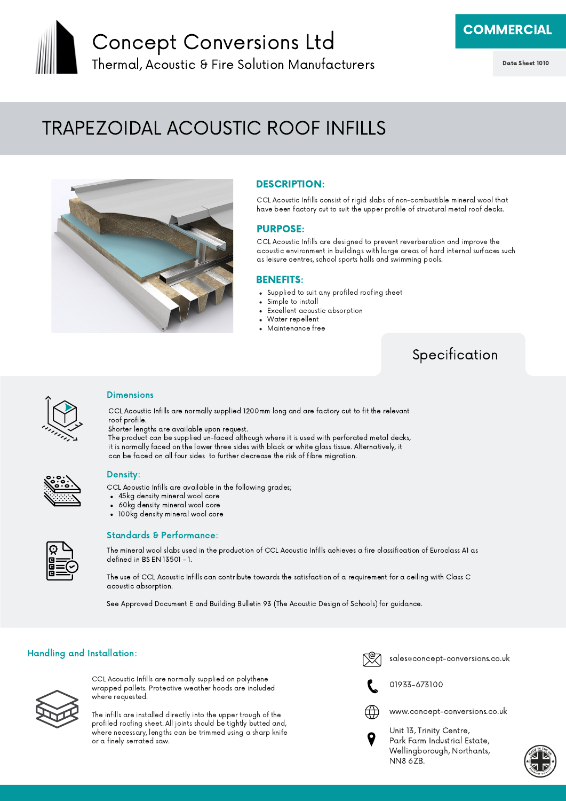

## Concept Conversions Ltd Thermal, Acoustic & Fire Solution Manufacturers

**COMMERCIAL** 

Data Sheet 1010

# TRAPEZOIDAL ACOUSTIC ROOF INFILLS



#### DESCRIPTION:

CCL Acoustic Infills consist of rigid slabs of non-combustible mineral wool that have been factory cut to suit the upper profile of structural metal roof decks.

#### PURPOSE:

CCL Acoustic Infills are designed to prevent reverberation and improve the acoustic environment in buildings with large areas of hard internal surfaces such as leisure centres, school sports halls and swimming pools.

#### BENEFITS:

- Supplied to suit any profiled roofing sheet
- Simple to install
- Excellent acoustic absorption
- Water repellent
- Maintenance free

### Specification



#### **Dimensions**

CCL Acoustic Infills are normally supplied 1200mm long and are factory cut to fit the relevant roof profile.

Shorter lengths are available upon request.

The product can be supplied un-faced although where it is used with perforated metal decks, it is normally faced on the lower three sides with black or white glass tissue. Alternatively, it can be faced on all four sides to further decrease the risk of fibre migration.



#### Density:

CCL Acoustic Infills are available in the following grades;

- 45kg density mineral wool core
- 60kg density mineral wool core
- 100kg density mineral wool core



#### Standards & Performance:

The mineral wool slabs used in the production of CCL Acoustic Infills achieves a fire classification of Euroclass A1 as defined in BS EN 13501 - 1.

The use of CCL Acoustic Infills can contribute towards the satisfaction of a requirement for a ceiling with Class C acoustic absorption.

See Approved Document E and Building Bulletin 93 (The Acoustic Design of Schools) for guidance.

#### Handling and Installation:



CCL Acoustic Infills are normally supplied on polythene wrapped pallets. Protective weather hoods are included where requested.

The infills are installed directly into the upper trough of the profiled roofing sheet. All joints should be tightly butted and, where necessary, lengths can be trimmed using a sharp knife or a finely serrated saw.

sales@concept-conversions.co.uk



01933-673100



www.concept-conversions.co.uk



Unit 13, Trinity Centre, Park Farm Industrial Estate, Wellingborough, Northants, NN8 6ZB.